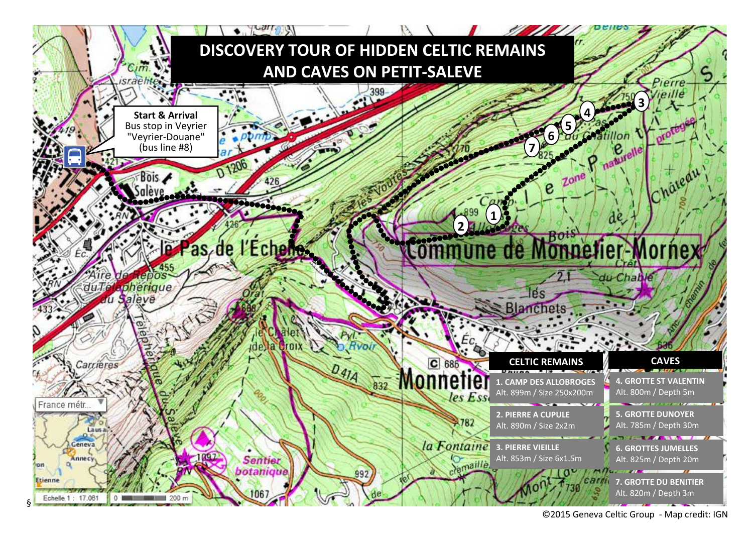

©2015 Geneva Celtic Group - Map credit: IGN